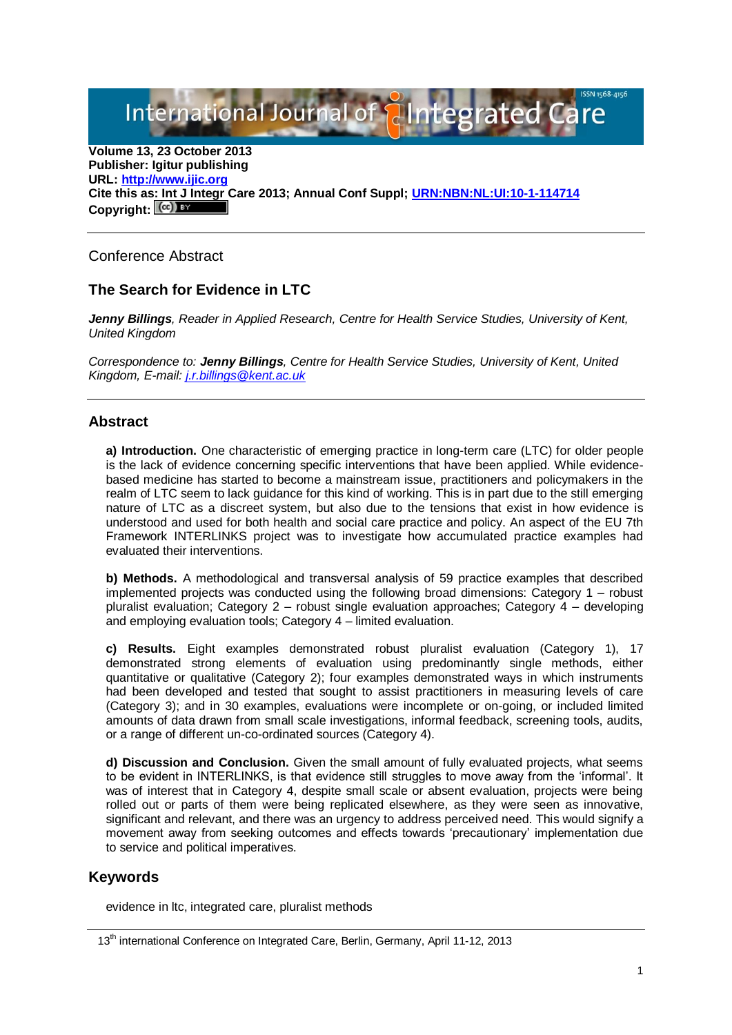International Journal of **Plntegrated** C

**Volume 13, 23 October 2013 Publisher: Igitur publishing URL[: http://www.ijic.org](http://www.ijic.org/) Cite this as: Int J Integr Care 2013; Annual Conf Suppl; [URN:NBN:NL:UI:10-1-114714](http://persistent-identifier.nl/?identifier=URN:NBN:NL:UI:10-1-114714)** Copyright:  $(cc)$ 

Conference Abstract

## **The Search for Evidence in LTC**

*Jenny Billings, Reader in Applied Research, Centre for Health Service Studies, University of Kent, United Kingdom*

*Correspondence to: Jenny Billings, Centre for Health Service Studies, University of Kent, United Kingdom, E-mail: [j.r.billings@kent.ac.uk](mailto:j.r.billings@kent.ac.uk)*

## **Abstract**

**a) Introduction.** One characteristic of emerging practice in long-term care (LTC) for older people is the lack of evidence concerning specific interventions that have been applied. While evidencebased medicine has started to become a mainstream issue, practitioners and policymakers in the realm of LTC seem to lack guidance for this kind of working. This is in part due to the still emerging nature of LTC as a discreet system, but also due to the tensions that exist in how evidence is understood and used for both health and social care practice and policy. An aspect of the EU 7th Framework INTERLINKS project was to investigate how accumulated practice examples had evaluated their interventions.

**b) Methods.** A methodological and transversal analysis of 59 practice examples that described implemented projects was conducted using the following broad dimensions: Category 1 – robust pluralist evaluation; Category 2 – robust single evaluation approaches; Category 4 – developing and employing evaluation tools; Category 4 – limited evaluation.

**c) Results.** Eight examples demonstrated robust pluralist evaluation (Category 1), 17 demonstrated strong elements of evaluation using predominantly single methods, either quantitative or qualitative (Category 2); four examples demonstrated ways in which instruments had been developed and tested that sought to assist practitioners in measuring levels of care (Category 3); and in 30 examples, evaluations were incomplete or on-going, or included limited amounts of data drawn from small scale investigations, informal feedback, screening tools, audits, or a range of different un-co-ordinated sources (Category 4).

**d) Discussion and Conclusion.** Given the small amount of fully evaluated projects, what seems to be evident in INTERLINKS, is that evidence still struggles to move away from the 'informal'. It was of interest that in Category 4, despite small scale or absent evaluation, projects were being rolled out or parts of them were being replicated elsewhere, as they were seen as innovative, significant and relevant, and there was an urgency to address perceived need. This would signify a movement away from seeking outcomes and effects towards 'precautionary' implementation due to service and political imperatives.

## **Keywords**

evidence in ltc, integrated care, pluralist methods

<sup>13&</sup>lt;sup>th</sup> international Conference on Integrated Care, Berlin, Germany, April 11-12, 2013